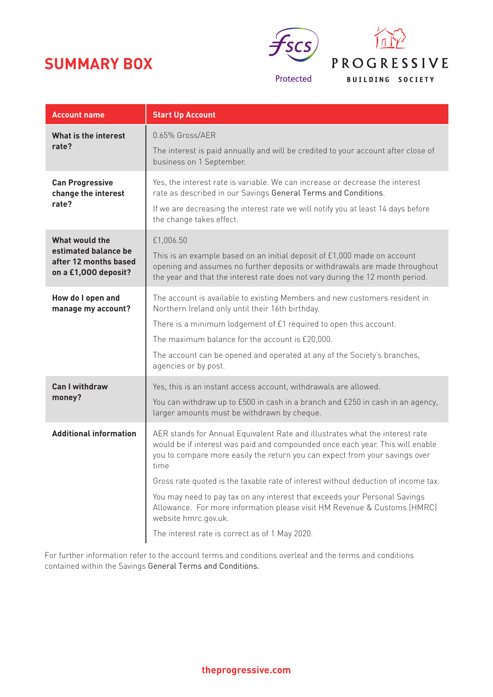# **SUMMARY BOX**



| <b>Account name</b>                                                                     | <b>Start Up Account</b>                                                                                                                                                                                                                                                                                                                                                                                                                                                                                                                                                        |
|-----------------------------------------------------------------------------------------|--------------------------------------------------------------------------------------------------------------------------------------------------------------------------------------------------------------------------------------------------------------------------------------------------------------------------------------------------------------------------------------------------------------------------------------------------------------------------------------------------------------------------------------------------------------------------------|
| What is the interest<br>rate?                                                           | 0.65% Gross/AER<br>The interest is paid annually and will be credited to your account after close of<br>business on 1 September.                                                                                                                                                                                                                                                                                                                                                                                                                                               |
| <b>Can Progressive</b><br>change the interest<br>rate?                                  | Yes, the interest rate is variable. We can increase or decrease the interest<br>rate as described in our Savings General Terms and Conditions.<br>If we are decreasing the interest rate we will notify you at least 14 days before<br>the change takes effect.                                                                                                                                                                                                                                                                                                                |
| What would the<br>estimated balance be<br>after 12 months based<br>on a £1,000 deposit? | £1,006.50<br>This is an example based on an initial deposit of £1,000 made on account<br>opening and assumes no further deposits or withdrawals are made throughout<br>the year and that the interest rate does not vary during the 12 month period.                                                                                                                                                                                                                                                                                                                           |
| How do I open and<br>manage my account?                                                 | The account is available to existing Members and new customers resident in<br>Northern Ireland only until their 16th birthday.<br>There is a minimum lodgement of £1 required to open this account.<br>The maximum balance for the account is £20,000.<br>The account can be opened and operated at any of the Society's branches,<br>agencies or by post.                                                                                                                                                                                                                     |
| <b>Can I withdraw</b><br>money?                                                         | Yes, this is an instant access account, withdrawals are allowed.<br>You can withdraw up to £500 in cash in a branch and £250 in cash in an agency,<br>larger amounts must be withdrawn by cheque.                                                                                                                                                                                                                                                                                                                                                                              |
| <b>Additional information</b>                                                           | AER stands for Annual Equivalent Rate and illustrates what the interest rate<br>would be if interest was paid and compounded once each year. This will enable<br>you to compare more easily the return you can expect from your savings over<br>time<br>Gross rate quoted is the taxable rate of interest without deduction of income tax.<br>You may need to pay tax on any interest that exceeds your Personal Savings<br>Allowance. For more information please visit HM Revenue & Customs (HMRC)<br>website hmrc.gov.uk.<br>The interest rate is correct as of 1 May 2020. |

For further information refer to the account terms and conditions overleaf and the terms and conditions contained within the Savings General Terms and Conditions.

**theprogressive.com**